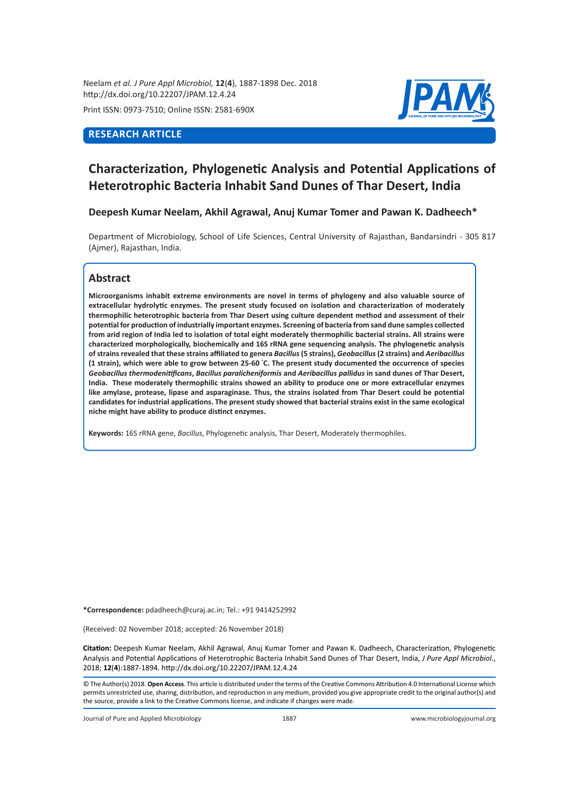Neelam *et al. J Pure Appl Microbiol,* **12**(**4**), 1887-1898 Dec. 2018 http://dx.doi.org/10.22207/JPAM.12.4.24

Print ISSN: 0973-7510; Online ISSN: 2581-690X

# **RESEARCH ARTICLE**



# **Characterization, Phylogenetic Analysis and Potential Applications of Heterotrophic Bacteria Inhabit Sand Dunes of Thar Desert, India**

**Deepesh Kumar Neelam, Akhil Agrawal, Anuj Kumar Tomer and Pawan K. Dadheech\***

Department of Microbiology, School of Life Sciences, Central University of Rajasthan, Bandarsindri - 305 817 (Ajmer), Rajasthan, India.

# **Abstract**

**Microorganisms inhabit extreme environments are novel in terms of phylogeny and also valuable source of extracellular hydrolytic enzymes. The present study focused on isolation and characterization of moderately thermophilic heterotrophic bacteria from Thar Desert using culture dependent method and assessment of their potential for production of industrially important enzymes. Screening of bacteria from sand dune samples collected from arid region of India led to isolation of total eight moderately thermophilic bacterial strains. All strains were characterized morphologically, biochemically and 16S rRNA gene sequencing analysis. The phylogenetic analysis of strains revealed that these strains affiliated to genera** *Bacillus* **(5 strains),** *Geobacillus* **(2 strains) and** *Aeribacillus* **(1 strain), which were able to grow between 25-60 ° C. The present study documented the occurrence of species**  *Geobacillus thermodenitificans***,** *Bacillus paralicheniformis* **and** *Aeribacillus pallidus* **in sand dunes of Thar Desert, India. These moderately thermophilic strains showed an ability to produce one or more extracellular enzymes like amylase, protease, lipase and asparaginase. Thus, the strains isolated from Thar Desert could be potential candidates for industrial applications. The present study showed that bacterial strains exist in the same ecological niche might have ability to produce distinct enzymes.** 

**Keywords:** 16S rRNA gene, *Bacillus*, Phylogenetic analysis, Thar Desert, Moderately thermophiles.

**\*Correspondence:** pdadheech@curaj.ac.in; Tel.: +91 9414252992

(Received: 02 November 2018; accepted: 26 November 2018)

**Citation:** Deepesh Kumar Neelam, Akhil Agrawal, Anuj Kumar Tomer and Pawan K. Dadheech, Characterization, Phylogenetic Analysis and Potential Applications of Heterotrophic Bacteria Inhabit Sand Dunes of Thar Desert, India, *J Pure Appl Microbiol*., 2018; **12**(**4**):1887-1894. http://dx.doi.org/10.22207/JPAM.12.4.24

© The Author(s) 2018. **Open Access**. This article is distributed under the terms of the Creative Commons Attribution 4.0 International License which permits unrestricted use, sharing, distribution, and reproduction in any medium, provided you give appropriate credit to the original author(s) and the source, provide a link to the Creative Commons license, and indicate if changes were made.

Journal of Pure and Applied Microbiology 1887 www.microbiologyjournal.org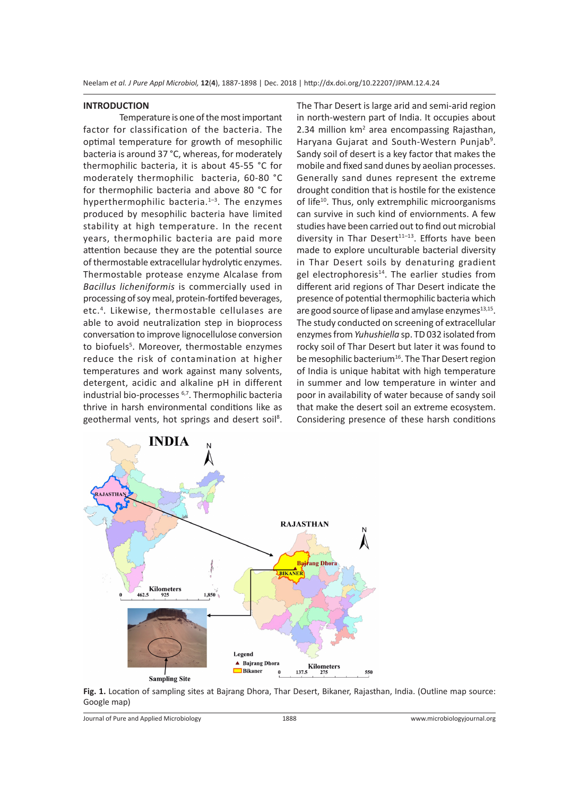Neelam *et al. J Pure Appl Microbiol,* **12**(**4**), 1887-1898 | Dec. 2018 | http://dx.doi.org/10.22207/JPAM.12.4.24

#### **INTRODUCTION**

Temperature is one of the most important factor for classification of the bacteria. The optimal temperature for growth of mesophilic bacteria is around 37 °C, whereas, for moderately thermophilic bacteria, it is about 45-55 °C for moderately thermophilic bacteria, 60-80 °C for thermophilic bacteria and above 80 °C for hyperthermophilic bacteria. $1-3$ . The enzymes produced by mesophilic bacteria have limited stability at high temperature. In the recent years, thermophilic bacteria are paid more attention because they are the potential source of thermostable extracellular hydrolytic enzymes. Thermostable protease enzyme Alcalase from *Bacillus licheniformis* is commercially used in processing of soy meal, protein-fortifed beverages, etc.<sup>4</sup> . Likewise, thermostable cellulases are able to avoid neutralization step in bioprocess conversation to improve lignocellulose conversion to biofuels<sup>5</sup>. Moreover, thermostable enzymes reduce the risk of contamination at higher temperatures and work against many solvents, detergent, acidic and alkaline pH in different industrial bio-processes 6,7. Thermophilic bacteria thrive in harsh environmental conditions like as geothermal vents, hot springs and desert soil<sup>8</sup>. The Thar Desert is large arid and semi-arid region in north-western part of India. It occupies about 2.34 million km<sup>2</sup> area encompassing Rajasthan, Haryana Gujarat and South-Western Punjab<sup>9</sup>. Sandy soil of desert is a key factor that makes the mobile and fixed sand dunes by aeolian processes. Generally sand dunes represent the extreme drought condition that is hostile for the existence of life<sup>10</sup>. Thus, only extremphilic microorganisms can survive in such kind of enviornments. A few studies have been carried out to find out microbial diversity in Thar Desert $11-13$ . Efforts have been made to explore unculturable bacterial diversity in Thar Desert soils by denaturing gradient gel electrophoresis $14$ . The earlier studies from different arid regions of Thar Desert indicate the presence of potential thermophilic bacteria which are good source of lipase and amylase enzymes $13,15$ . The study conducted on screening of extracellular enzymes from *Yuhushiella* sp. TD 032 isolated from rocky soil of Thar Desert but later it was found to be mesophilic bacterium<sup>16</sup>. The Thar Desert region of India is unique habitat with high temperature in summer and low temperature in winter and poor in availability of water because of sandy soil that make the desert soil an extreme ecosystem. Considering presence of these harsh conditions



**Fig. 1.** Location of sampling sites at Bajrang Dhora, Thar Desert, Bikaner, Rajasthan, India. (Outline map source: Google map)

Journal of Pure and Applied Microbiology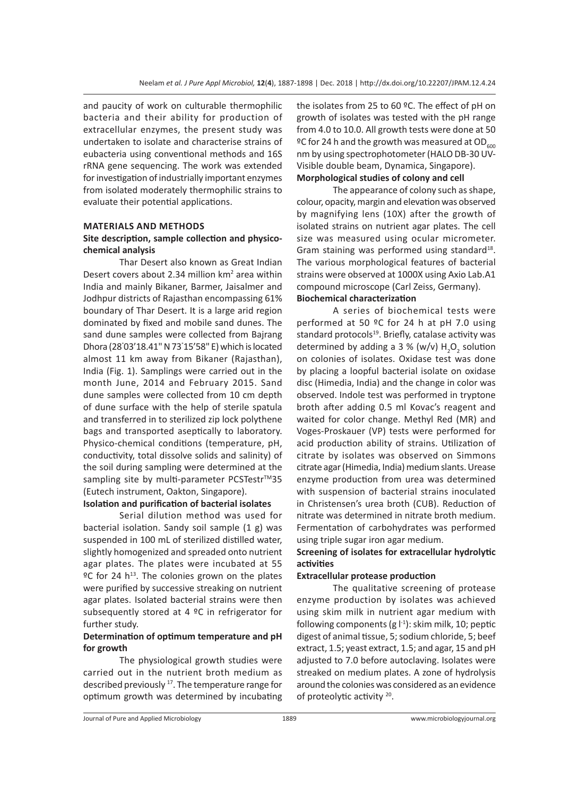and paucity of work on culturable thermophilic bacteria and their ability for production of extracellular enzymes, the present study was undertaken to isolate and characterise strains of eubacteria using conventional methods and 16S rRNA gene sequencing. The work was extended for investigation of industrially important enzymes from isolated moderately thermophilic strains to evaluate their potential applications.

#### **MATERIALS AND METHODS**

## **Site description, sample collection and physicochemical analysis**

Thar Desert also known as Great Indian Desert covers about 2.34 million  $km<sup>2</sup>$  area within India and mainly Bikaner, Barmer, Jaisalmer and Jodhpur districts of Rajasthan encompassing 61% boundary of Thar Desert. It is a large arid region dominated by fixed and mobile sand dunes. The sand dune samples were collected from Bajrang Dhora (28° 03'18.41" N 73° 15'58" E) which is located almost 11 km away from Bikaner (Rajasthan), India (Fig. 1). Samplings were carried out in the month June, 2014 and February 2015. Sand dune samples were collected from 10 cm depth of dune surface with the help of sterile spatula and transferred in to sterilized zip lock polythene bags and transported aseptically to laboratory. Physico-chemical conditions (temperature, pH, conductivity, total dissolve solids and salinity) of the soil during sampling were determined at the sampling site by multi-parameter PCSTestr™35 (Eutech instrument, Oakton, Singapore).

# **Isolation and purification of bacterial isolates**

Serial dilution method was used for bacterial isolation. Sandy soil sample (1 g) was suspended in 100 mL of sterilized distilled water, slightly homogenized and spreaded onto nutrient agar plates. The plates were incubated at 55  $°C$  for 24 h<sup>13</sup>. The colonies grown on the plates were purified by successive streaking on nutrient agar plates. Isolated bacterial strains were then subsequently stored at 4 ºC in refrigerator for further study.

## **Determination of optimum temperature and pH for growth**

The physiological growth studies were carried out in the nutrient broth medium as described previously<sup>17</sup>. The temperature range for optimum growth was determined by incubating the isolates from 25 to 60 ºC. The effect of pH on growth of isolates was tested with the pH range from 4.0 to 10.0. All growth tests were done at 50 <sup>o</sup>C for 24 h and the growth was measured at OD<sub>600</sub> nm by using spectrophotometer (HALO DB-30 UV-Visible double beam, Dynamica, Singapore). **Morphological studies of colony and cell**

The appearance of colony such as shape, colour, opacity, margin and elevation was observed by magnifying lens (10X) after the growth of isolated strains on nutrient agar plates. The cell size was measured using ocular micrometer. Gram staining was performed using standard<sup>18</sup>. The various morphological features of bacterial strains were observed at 1000X using Axio Lab.A1 compound microscope (Carl Zeiss, Germany). **Biochemical characterization** 

A series of biochemical tests were performed at 50 ºC for 24 h at pH 7.0 using standard protocols<sup>19</sup>. Briefly, catalase activity was determined by adding a 3 % (w/v)  $H_2O_2$  solution on colonies of isolates. Oxidase test was done by placing a loopful bacterial isolate on oxidase disc (Himedia, India) and the change in color was observed. Indole test was performed in tryptone broth after adding 0.5 ml Kovac's reagent and waited for color change. Methyl Red (MR) and Voges-Proskauer (VP) tests were performed for acid production ability of strains. Utilization of citrate by isolates was observed on Simmons citrate agar (Himedia, India) medium slants. Urease enzyme production from urea was determined with suspension of bacterial strains inoculated in Christensen's urea broth (CUB). Reduction of nitrate was determined in nitrate broth medium. Fermentation of carbohydrates was performed using triple sugar iron agar medium.

# **Screening of isolates for extracellular hydrolytic activities**

#### **Extracellular protease production**

The qualitative screening of protease enzyme production by isolates was achieved using skim milk in nutrient agar medium with following components (g  $\vert$ <sup>-1</sup>): skim milk, 10; peptic digest of animal tissue, 5; sodium chloride, 5; beef extract, 1.5; yeast extract, 1.5; and agar, 15 and pH adjusted to 7.0 before autoclaving. Isolates were streaked on medium plates. A zone of hydrolysis around the colonies was considered as an evidence of proteolytic activity 20.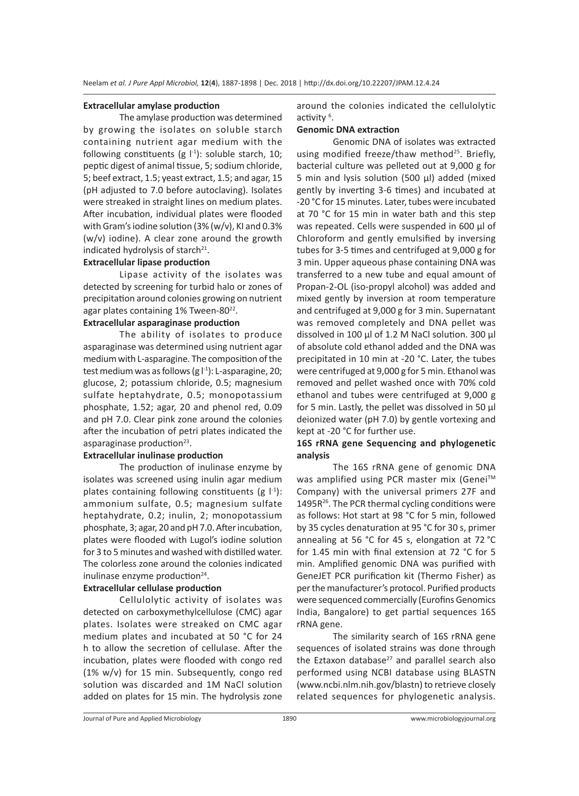#### **Extracellular amylase production**

The amylase production was determined by growing the isolates on soluble starch containing nutrient agar medium with the following constituents (g  $\vert^{1}$ ): soluble starch, 10; peptic digest of animal tissue, 5; sodium chloride, 5; beef extract, 1.5; yeast extract, 1.5; and agar, 15 (pH adjusted to 7.0 before autoclaving). Isolates were streaked in straight lines on medium plates. After incubation, individual plates were flooded with Gram's iodine solution (3% (w/v), KI and 0.3% (w/v) iodine). A clear zone around the growth indicated hydrolysis of starch $21$ .

#### **Extracellular lipase production**

Lipase activity of the isolates was detected by screening for turbid halo or zones of precipitation around colonies growing on nutrient agar plates containing 1% Tween-80<sup>22</sup>.

#### **Extracellular asparaginase production**

The ability of isolates to produce asparaginase was determined using nutrient agar medium with L-asparagine. The composition of the test medium was as follows (g  $\vert^{1}$ ): L-asparagine, 20; glucose, 2; potassium chloride, 0.5; magnesium sulfate heptahydrate, 0.5; monopotassium phosphate, 1.52; agar, 20 and phenol red, 0.09 and pH 7.0. Clear pink zone around the colonies after the incubation of petri plates indicated the asparaginase production $23$ .

#### **Extracellular inulinase production**

The production of inulinase enzyme by isolates was screened using inulin agar medium plates containing following constituents (g  $\vert^{1}$ ): ammonium sulfate, 0.5; magnesium sulfate heptahydrate, 0.2; inulin, 2; monopotassium phosphate, 3; agar, 20 and pH 7.0. After incubation, plates were flooded with Lugol's iodine solution for 3 to 5 minutes and washed with distilled water. The colorless zone around the colonies indicated inulinase enzyme production<sup>24</sup>.

#### **Extracellular cellulase production**

Cellulolytic activity of isolates was detected on carboxymethylcellulose (CMC) agar plates. Isolates were streaked on CMC agar medium plates and incubated at 50 °C for 24 h to allow the secretion of cellulase. After the incubation, plates were flooded with congo red (1% w/v) for 15 min. Subsequently, congo red solution was discarded and 1M NaCl solution added on plates for 15 min. The hydrolysis zone around the colonies indicated the cellulolytic activity <sup>6</sup>.

#### **Genomic DNA extraction**

Genomic DNA of isolates was extracted using modified freeze/thaw method<sup>25</sup>. Briefly, bacterial culture was pelleted out at 9,000 g for 5 min and lysis solution (500 µl) added (mixed gently by inverting 3-6 times) and incubated at -20 °C for 15 minutes. Later, tubes were incubated at 70 °C for 15 min in water bath and this step was repeated. Cells were suspended in 600 µl of Chloroform and gently emulsified by inversing tubes for 3-5 times and centrifuged at 9,000 g for 3 min. Upper aqueous phase containing DNA was transferred to a new tube and equal amount of Propan-2-OL (iso-propyl alcohol) was added and mixed gently by inversion at room temperature and centrifuged at 9,000 g for 3 min. Supernatant was removed completely and DNA pellet was dissolved in 100 µl of 1.2 M NaCl solution. 300 µl of absolute cold ethanol added and the DNA was precipitated in 10 min at -20 °C. Later, the tubes were centrifuged at 9,000 g for 5 min. Ethanol was removed and pellet washed once with 70% cold ethanol and tubes were centrifuged at 9,000 g for 5 min. Lastly, the pellet was dissolved in 50 µl deionized water (pH 7.0) by gentle vortexing and kept at -20 °C for further use.

# **16S rRNA gene Sequencing and phylogenetic analysis**

The 16S rRNA gene of genomic DNA was amplified using PCR master mix (Genei™ Company) with the universal primers 27F and  $1495R<sup>26</sup>$ . The PCR thermal cycling conditions were as follows: Hot start at 98 °C for 5 min, followed by 35 cycles denaturation at 95 °C for 30 s, primer annealing at 56 °C for 45 s, elongation at 72 °C for 1.45 min with final extension at 72 °C for 5 min. Amplified genomic DNA was purified with GeneJET PCR purification kit (Thermo Fisher) as per the manufacturer's protocol. Purified products were sequenced commercially (Eurofins Genomics India, Bangalore) to get partial sequences 16S rRNA gene.

The similarity search of 16S rRNA gene sequences of isolated strains was done through the Eztaxon database $^{27}$  and parallel search also performed using NCBI database using BLASTN (www.ncbi.nlm.nih.gov/blastn) to retrieve closely related sequences for phylogenetic analysis.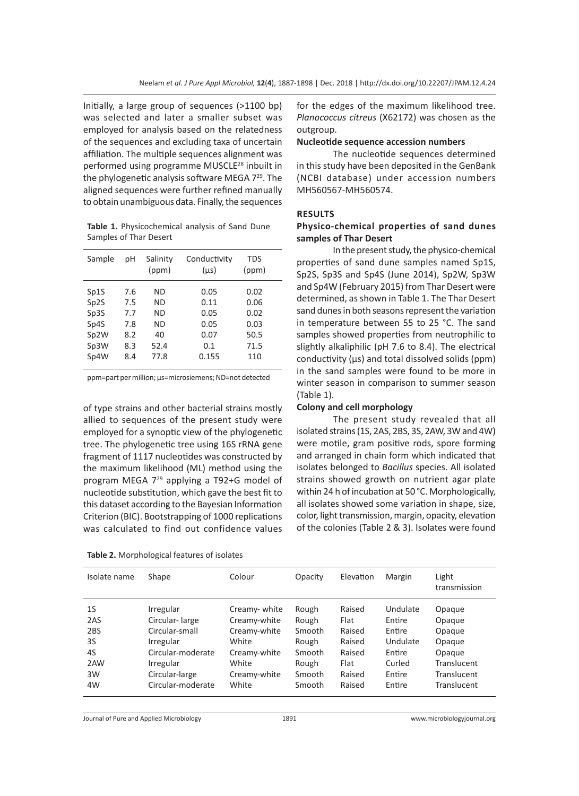Initially, a large group of sequences (>1100 bp) was selected and later a smaller subset was employed for analysis based on the relatedness of the sequences and excluding taxa of uncertain affiliation. The multiple sequences alignment was performed using programme MUSCLE<sup>28</sup> inbuilt in the phylogenetic analysis software MEGA 7<sup>29</sup>. The aligned sequences were further refined manually to obtain unambiguous data. Finally, the sequences

**Table 1.** Physicochemical analysis of Sand Dune Samples of Thar Desert

| Sample                                                    | рH                                     | Salinity<br>(ppm)                  | Conductivity<br>$(\mu s)$                   | <b>TDS</b><br>(ppm)                          |  |
|-----------------------------------------------------------|----------------------------------------|------------------------------------|---------------------------------------------|----------------------------------------------|--|
| Sp1S<br>Sp2S<br>Sp3S<br>Sp4S<br>Sp <sub>2</sub> W<br>Sp3W | 7.6<br>7.5<br>7.7<br>7.8<br>8.2<br>8.3 | ND<br>ND<br>ND<br>ND<br>40<br>52.4 | 0.05<br>0.11<br>0.05<br>0.05<br>0.07<br>0.1 | 0.02<br>0.06<br>0.02<br>0.03<br>50.5<br>71.5 |  |
| Sp4W                                                      | 8.4                                    | 77.8                               | 0.155                                       | 110                                          |  |

ppm=part per million; µs=microsiemens; ND=not detected

of type strains and other bacterial strains mostly allied to sequences of the present study were employed for a synoptic view of the phylogenetic tree. The phylogenetic tree using 16S rRNA gene fragment of 1117 nucleotides was constructed by the maximum likelihood (ML) method using the program MEGA 729 applying a T92+G model of nucleotide substitution, which gave the best fit to this dataset according to the Bayesian Information Criterion (BIC). Bootstrapping of 1000 replications was calculated to find out confidence values

| Table 2. Morphological features of isolates |  |
|---------------------------------------------|--|
|---------------------------------------------|--|

for the edges of the maximum likelihood tree. *Planococcus citreus* (X62172) was chosen as the outgroup.

#### **Nucleotide sequence accession numbers**

The nucleotide sequences determined in this study have been deposited in the GenBank (NCBI database) under accession numbers MH560567-MH560574.

#### **RESULTS**

## **Physico-chemical properties of sand dunes samples of Thar Desert**

In the present study, the physico-chemical properties of sand dune samples named Sp1S, Sp2S, Sp3S and Sp4S (June 2014), Sp2W, Sp3W and Sp4W (February 2015) from Thar Desert were determined, as shown in Table 1. The Thar Desert sand dunes in both seasons represent the variation in temperature between 55 to 25 °C. The sand samples showed properties from neutrophilic to slightly alkaliphilic (pH 7.6 to 8.4). The electrical conductivity  $(\mu s)$  and total dissolved solids  $(ppm)$ in the sand samples were found to be more in winter season in comparison to summer season (Table 1).

#### **Colony and cell morphology**

The present study revealed that all isolated strains (1S, 2AS, 2BS, 3S, 2AW, 3W and 4W) were motile, gram positive rods, spore forming and arranged in chain form which indicated that isolates belonged to *Bacillus* species. All isolated strains showed growth on nutrient agar plate within 24 h of incubation at 50 °C. Morphologically, all isolates showed some variation in shape, size, color, light transmission, margin, opacity, elevation of the colonies (Table 2 & 3). Isolates were found

| Isolate name   | Shape             | Colour       | Opacity | Elevation | Margin   | Light<br>transmission |
|----------------|-------------------|--------------|---------|-----------|----------|-----------------------|
| 1 <sub>S</sub> | Irregular         | Creamy-white | Rough   | Raised    | Undulate | Opaque                |
| 2AS            | Circular-large    | Creamy-white | Rough   | Flat      | Entire   | Opaque                |
| 2BS            | Circular-small    | Creamy-white | Smooth  | Raised    | Entire   | Opaque                |
| 3S             | Irregular         | White        | Rough   | Raised    | Undulate | Opaque                |
| 4S             | Circular-moderate | Creamy-white | Smooth  | Raised    | Entire   | Opaque                |
| 2AW            | Irregular         | White        | Rough   | Flat      | Curled   | <b>Translucent</b>    |
| 3W             | Circular-large    | Creamy-white | Smooth  | Raised    | Entire   | <b>Translucent</b>    |
| 4W             | Circular-moderate | White        | Smooth  | Raised    | Entire   | <b>Translucent</b>    |

Journal of Pure and Applied Microbiology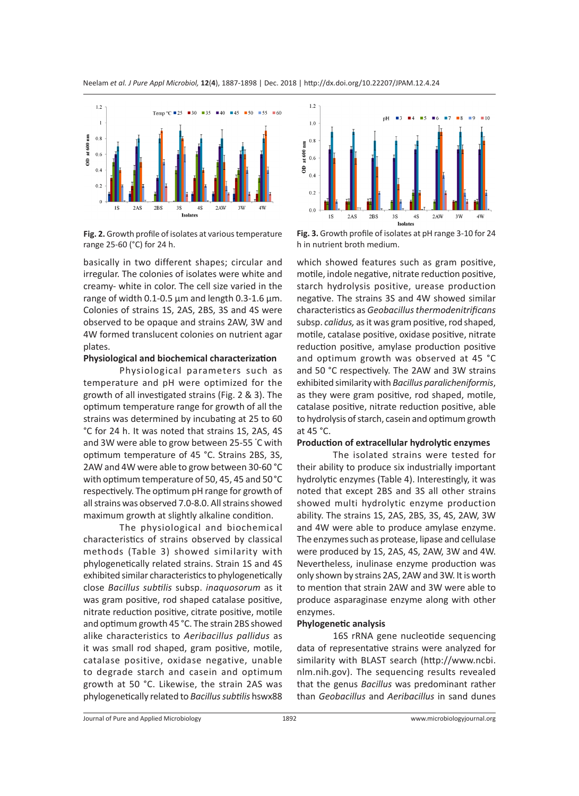

**Fig. 2.** Growth profile of isolates at various temperature range 25-60 (°C) for 24 h.

basically in two different shapes; circular and irregular. The colonies of isolates were white and creamy- white in color. The cell size varied in the range of width 0.1-0.5 µm and length 0.3-1.6 µm. Colonies of strains 1S, 2AS, 2BS, 3S and 4S were observed to be opaque and strains 2AW, 3W and 4W formed translucent colonies on nutrient agar plates.

#### **Physiological and biochemical characterization**

Physiological parameters such as temperature and pH were optimized for the growth of all investigated strains (Fig. 2 & 3). The optimum temperature range for growth of all the strains was determined by incubating at 25 to 60 °C for 24 h. It was noted that strains 1S, 2AS, 4S and 3W were able to grow between 25-55 ° C with optimum temperature of 45 °C. Strains 2BS, 3S, 2AW and 4W were able to grow between 30-60 °C with optimum temperature of 50, 45, 45 and 50°C respectively. The optimum pH range for growth of all strains was observed 7.0-8.0. All strains showed maximum growth at slightly alkaline condition.

The physiological and biochemical characteristics of strains observed by classical methods (Table 3) showed similarity with phylogenetically related strains. Strain 1S and 4S exhibited similar characteristics to phylogenetically close *Bacillus subtilis* subsp. *inaquosorum* as it was gram positive, rod shaped catalase positive, nitrate reduction positive, citrate positive, motile and optimum growth 45 °C. The strain 2BS showed alike characteristics to *Aeribacillus pallidus* as it was small rod shaped, gram positive, motile, catalase positive, oxidase negative, unable to degrade starch and casein and optimum growth at 50 °C. Likewise, the strain 2AS was phylogenetically related to *Bacillus subtilis* hswx88



**Fig. 3.** Growth profile of isolates at pH range 3-10 for 24 h in nutrient broth medium.

which showed features such as gram positive, motile, indole negative, nitrate reduction positive, starch hydrolysis positive, urease production negative. The strains 3S and 4W showed similar characteristics as *Geobacillus thermodenitrificans*  subsp. *calidus,* as it was gram positive, rod shaped, motile, catalase positive, oxidase positive, nitrate reduction positive, amylase production positive and optimum growth was observed at 45 °C and 50 °C respectively. The 2AW and 3W strains exhibited similarity with *Bacillus paralicheniformis*, as they were gram positive, rod shaped, motile, catalase positive, nitrate reduction positive, able to hydrolysis of starch, casein and optimum growth at 45 °C.

#### **Production of extracellular hydrolytic enzymes**

The isolated strains were tested for their ability to produce six industrially important hydrolytic enzymes (Table 4). Interestingly, it was noted that except 2BS and 3S all other strains showed multi hydrolytic enzyme production ability. The strains 1S, 2AS, 2BS, 3S, 4S, 2AW, 3W and 4W were able to produce amylase enzyme. The enzymes such as protease, lipase and cellulase were produced by 1S, 2AS, 4S, 2AW, 3W and 4W. Nevertheless, inulinase enzyme production was only shown by strains 2AS, 2AW and 3W. It is worth to mention that strain 2AW and 3W were able to produce asparaginase enzyme along with other enzymes.

#### **Phylogenetic analysis**

16S rRNA gene nucleotide sequencing data of representative strains were analyzed for similarity with BLAST search (http://www.ncbi. nlm.nih.gov). The sequencing results revealed that the genus *Bacillus* was predominant rather than *Geobacillus* and *Aeribacillus* in sand dunes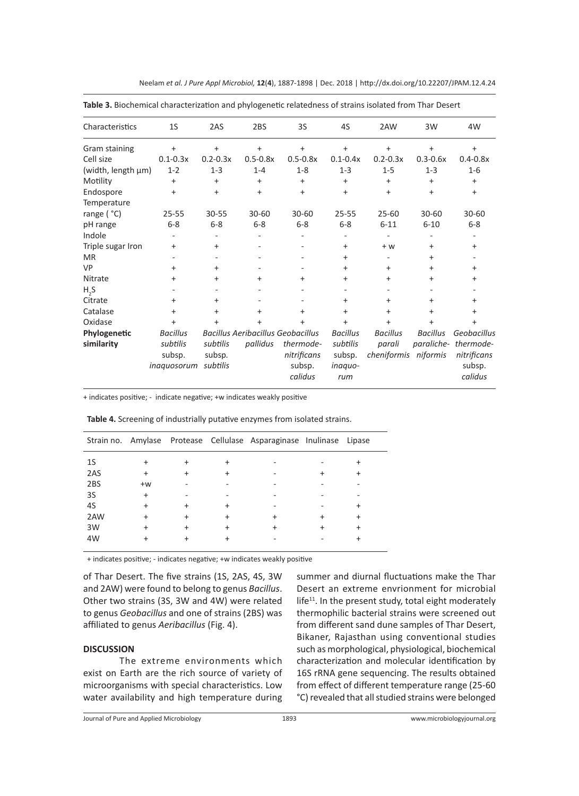| Characteristics            | 1S                                    | 2AS                            | 2BS          | 3S                                                                             | 4S                                    | 2AW                                               | 3W              | 4W                                                |
|----------------------------|---------------------------------------|--------------------------------|--------------|--------------------------------------------------------------------------------|---------------------------------------|---------------------------------------------------|-----------------|---------------------------------------------------|
| Gram staining              | $\ddot{}$                             | $\ddot{}$                      | $\ddot{}$    | $+$                                                                            | $\ddot{}$                             | $\ddot{}$                                         | $\ddot{}$       | $\ddot{}$                                         |
| Cell size                  | $0.1 - 0.3x$                          | $0.2 - 0.3x$                   | $0.5 - 0.8x$ | $0.5 - 0.8x$                                                                   | $0.1 - 0.4x$                          | $0.2 - 0.3x$                                      | $0.3 - 0.6x$    | $0.4 - 0.8x$                                      |
| (width, length µm)         | $1 - 2$                               | $1 - 3$                        | $1 - 4$      | $1 - 8$                                                                        | $1 - 3$                               | $1 - 5$                                           | $1 - 3$         | $1-6$                                             |
| Motility                   | $\ddot{}$                             | $\ddot{}$                      | +            | $\ddot{}$                                                                      | $\ddot{}$                             | +                                                 | $\ddot{}$       | $\ddot{}$                                         |
| Endospore                  | $\ddot{}$                             | $\ddot{}$                      | $\ddot{}$    | $+$                                                                            | $\ddot{}$                             | $\ddot{}$                                         | $\ddot{}$       | $\ddot{}$                                         |
| Temperature                |                                       |                                |              |                                                                                |                                       |                                                   |                 |                                                   |
| range ( °C)                | $25 - 55$                             | $30 - 55$                      | $30 - 60$    | $30 - 60$                                                                      | $25 - 55$                             | $25 - 60$                                         | 30-60           | $30 - 60$                                         |
| pH range                   | $6 - 8$                               | $6 - 8$                        | $6 - 8$      | $6 - 8$                                                                        | $6 - 8$                               | $6 - 11$                                          | $6 - 10$        | $6 - 8$                                           |
| Indole                     |                                       |                                |              |                                                                                |                                       |                                                   |                 |                                                   |
| Triple sugar Iron          | $\ddot{}$                             | $\ddot{}$                      | ۰            |                                                                                | $\ddot{}$                             | $+W$                                              | $\ddot{}$       | $\ddot{}$                                         |
| <b>MR</b>                  |                                       |                                |              |                                                                                | $\ddot{}$                             |                                                   | $^+$            |                                                   |
| VP                         | $\ddot{}$                             | $\ddot{}$                      |              |                                                                                | $\ddot{}$                             | +                                                 | $+$             | $\ddot{}$                                         |
| Nitrate                    | $\ddot{}$                             | $\ddot{}$                      | $\ddot{}$    | $\ddot{}$                                                                      | $+$                                   | $\ddot{}$                                         | $^{+}$          | $\ddot{}$                                         |
| H, S                       |                                       |                                |              |                                                                                |                                       |                                                   |                 |                                                   |
| Citrate                    | $\ddot{}$                             | $\ddot{}$                      | ۰            |                                                                                | $\ddot{}$                             | $\ddot{}$                                         | $^+$            | $\ddot{}$                                         |
| Catalase                   | $\ddot{}$                             | $\ddot{}$                      | $\ddot{}$    | $\ddot{}$                                                                      | $\ddot{}$                             | $\ddot{}$                                         | $\ddot{}$       | $\ddot{}$                                         |
| Oxidase                    | $\ddot{}$                             | $\ddot{}$                      | +            | $\ddot{}$                                                                      | $\ddot{}$                             | $\ddot{}$                                         | +               | $\ddot{}$                                         |
| Phylogenetic<br>similarity | <b>Bacillus</b><br>subtilis<br>subsp. | subtilis<br>subsp.<br>subtilis | pallidus     | <b>Bacillus Aeribacillus Geobacillus</b><br>thermode-<br>nitrificans<br>subsp. | <b>Bacillus</b><br>subtilis<br>subsp. | <b>Bacillus</b><br>parali<br>cheniformis niformis | <b>Bacillus</b> | Geobacillus<br>paraliche-thermode-<br>nitrificans |
|                            | inaquosorum                           |                                |              | calidus                                                                        | inaquo-<br>rum                        |                                                   |                 | subsp.<br>calidus                                 |

Neelam *et al. J Pure Appl Microbiol,* **12**(**4**), 1887-1898 | Dec. 2018 | http://dx.doi.org/10.22207/JPAM.12.4.24

**Table 3.** Biochemical characterization and phylogenetic relatedness of strains isolated from Thar Desert

+ indicates positive; - indicate negative; +w indicates weakly positive

**Table 4.** Screening of industrially putative enzymes from isolated strains.

|     |      |  | Strain no. Amylase Protease Cellulase Asparaginase Inulinase Lipase |            |
|-----|------|--|---------------------------------------------------------------------|------------|
| 1S  |      |  |                                                                     |            |
| 2AS |      |  |                                                                     |            |
| 2BS | $+w$ |  |                                                                     |            |
| 3S  | +    |  |                                                                     |            |
| 4S  |      |  |                                                                     | +          |
| 2AW |      |  |                                                                     | $\hbox{ }$ |
| 3W  |      |  |                                                                     | $\hbox{ }$ |
| 4W  |      |  |                                                                     | +          |
|     |      |  |                                                                     |            |

+ indicates positive; - indicates negative; +w indicates weakly positive

of Thar Desert. The five strains (1S, 2AS, 4S, 3W and 2AW) were found to belong to genus *Bacillus*. Other two strains (3S, 3W and 4W) were related to genus *Geobacillus* and one of strains (2BS) was affiliated to genus *Aeribacillus* (Fig. 4).

## **DISCUSSION**

The extreme environments which exist on Earth are the rich source of variety of microorganisms with special characteristics. Low water availability and high temperature during summer and diurnal fluctuations make the Thar Desert an extreme envrionment for microbial  $l$ ife $11$ . In the present study, total eight moderately thermophilic bacterial strains were screened out from different sand dune samples of Thar Desert, Bikaner, Rajasthan using conventional studies such as morphological, physiological, biochemical characterization and molecular identification by 16S rRNA gene sequencing. The results obtained from effect of different temperature range (25-60 °C) revealed that all studied strains were belonged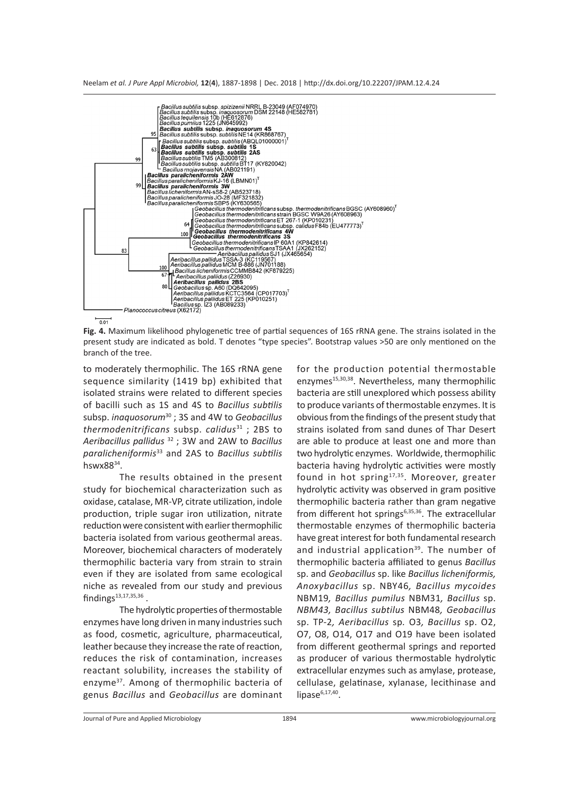



 $\frac{}{0.01}$ 

**Fig. 4.** Maximum likelihood phylogenetic tree of partial sequences of 16S rRNA gene. The strains isolated in the present study are indicated as bold. T denotes "type species". Bootstrap values >50 are only mentioned on the branch of the tree.

to moderately thermophilic. The 16S rRNA gene sequence similarity (1419 bp) exhibited that isolated strains were related to different species of bacilli such as 1S and 4S to *Bacillus subtilis*  subsp. *inaquosorum*<sup>30</sup> ; 3S and 4W to *Geobacillus thermodenitrificans* subsp. *calidus*<sup>31</sup> ; 2BS to *Aeribacillus pallidus* 32 ; 3W and 2AW to *Bacillus paralicheniformis*<sup>33</sup> and 2AS to *Bacillus subtilis* hswx8834.

The results obtained in the present study for biochemical characterization such as oxidase, catalase, MR-VP, citrate utilization, indole production, triple sugar iron utilization, nitrate reduction were consistent with earlier thermophilic bacteria isolated from various geothermal areas. Moreover, biochemical characters of moderately thermophilic bacteria vary from strain to strain even if they are isolated from same ecological niche as revealed from our study and previous  $findings<sup>13,17,35,36</sup>$ .

The hydrolytic properties of thermostable enzymes have long driven in many industries such as food, cosmetic, agriculture, pharmaceutical, leather because they increase the rate of reaction, reduces the risk of contamination, increases reactant solubility, increases the stability of enzyme<sup>37</sup>. Among of thermophilic bacteria of genus *Bacillus* and *Geobacillus* are dominant for the production potential thermostable enzymes<sup>15,30,38</sup>. Nevertheless, many thermophilic bacteria are still unexplored which possess ability to produce variants of thermostable enzymes. It is obvious from the findings of the present study that strains isolated from sand dunes of Thar Desert are able to produce at least one and more than two hydrolytic enzymes. Worldwide, thermophilic bacteria having hydrolytic activities were mostly found in hot spring<sup>17,35</sup>. Moreover, greater hydrolytic activity was observed in gram positive thermophilic bacteria rather than gram negative from different hot springs<sup>6,35,36</sup>. The extracellular thermostable enzymes of thermophilic bacteria have great interest for both fundamental research and industrial application<sup>39</sup>. The number of thermophilic bacteria affiliated to genus *Bacillus* sp. and *Geobacillus* sp. like *Bacillus licheniformis, Anoxybacillus* sp. NBY46*, Bacillus mycoides*  NBM19*, Bacillus pumilus* NBM31*, Bacillus* sp. *NBM43, Bacillus subtilus* NBM48*, Geobacillus*  sp. TP-2*, Aeribacillus* sp*.* O3*, Bacillus* sp. O2, O7, O8, O14, O17 and O19 have been isolated from different geothermal springs and reported as producer of various thermostable hydrolytic extracellular enzymes such as amylase, protease, cellulase, gelatinase, xylanase, lecithinase and lipase $6,17,40$ .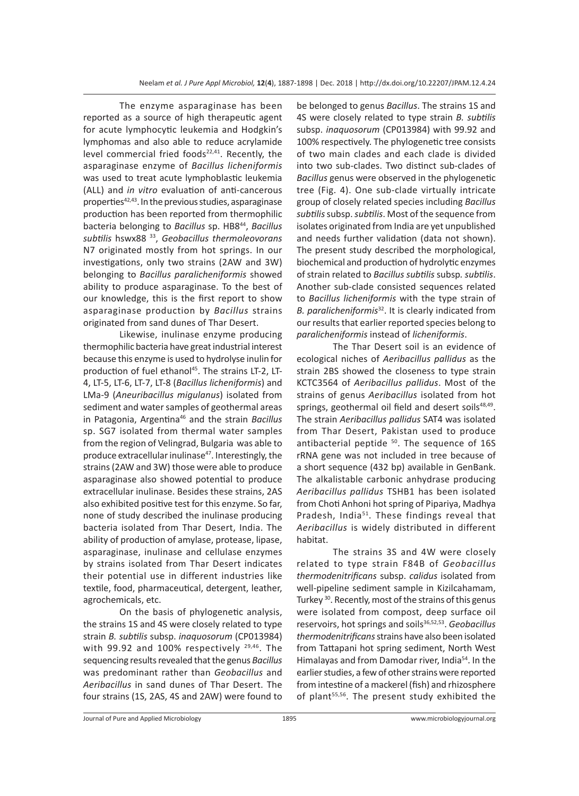The enzyme asparaginase has been reported as a source of high therapeutic agent for acute lymphocytic leukemia and Hodgkin's lymphomas and also able to reduce acrylamide level commercial fried foods $22,41$ . Recently, the asparaginase enzyme of *Bacillus licheniformis* was used to treat acute lymphoblastic leukemia (ALL) and *in vitro* evaluation of anti-cancerous properties $42,43$ . In the previous studies, asparaginase production has been reported from thermophilic bacteria belonging to *Bacillus* sp. HB844, *Bacillus subtilis* hswx88 33, *Geobacillus thermoleovorans* N7 originated mostly from hot springs. In our investigations, only two strains (2AW and 3W) belonging to *Bacillus paralicheniformis* showed ability to produce asparaginase. To the best of our knowledge, this is the first report to show asparaginase production by *Bacillus* strains originated from sand dunes of Thar Desert.

Likewise, inulinase enzyme producing thermophilic bacteria have great industrial interest because this enzyme is used to hydrolyse inulin for production of fuel ethanol<sup>45</sup>. The strains LT-2, LT-4, LT-5, LT-6, LT-7, LT-8 (*Bacillus licheniformis*) and LMa-9 (*Aneuribacillus migulanus*) isolated from sediment and water samples of geothermal areas in Patagonia, Argentina46 and the strain *Bacillus*  sp. SG7 isolated from thermal water samples from the region of Velingrad, Bulgaria was able to produce extracellular inulinase<sup>47</sup>. Interestingly, the strains (2AW and 3W) those were able to produce asparaginase also showed potential to produce extracellular inulinase. Besides these strains, 2AS also exhibited positive test for this enzyme. So far, none of study described the inulinase producing bacteria isolated from Thar Desert, India. The ability of production of amylase, protease, lipase, asparaginase, inulinase and cellulase enzymes by strains isolated from Thar Desert indicates their potential use in different industries like textile, food, pharmaceutical, detergent, leather, agrochemicals, etc.

On the basis of phylogenetic analysis, the strains 1S and 4S were closely related to type strain *B. subtilis* subsp. *inaquosorum* (CP013984) with 99.92 and 100% respectively  $29,46$ . The sequencing results revealed that the genus *Bacillus* was predominant rather than *Geobacillus* and *Aeribacillus* in sand dunes of Thar Desert. The four strains (1S, 2AS, 4S and 2AW) were found to

be belonged to genus *Bacillus*. The strains 1S and 4S were closely related to type strain *B. subtilis* subsp. *inaquosorum* (CP013984) with 99.92 and 100% respectively. The phylogenetic tree consists of two main clades and each clade is divided into two sub-clades. Two distinct sub-clades of *Bacillus* genus were observed in the phylogenetic tree (Fig. 4). One sub-clade virtually intricate group of closely related species including *Bacillus subtilis* subsp. *subtilis*. Most of the sequence from isolates originated from India are yet unpublished and needs further validation (data not shown). The present study described the morphological, biochemical and production of hydrolytic enzymes of strain related to *Bacillus subtilis* subsp*. subtilis*. Another sub-clade consisted sequences related to *Bacillus licheniformis* with the type strain of *B. paralicheniformis*<sup>32</sup>. It is clearly indicated from our results that earlier reported species belong to *paralicheniformis* instead of *licheniformis*.

The Thar Desert soil is an evidence of ecological niches of *Aeribacillus pallidus* as the strain 2BS showed the closeness to type strain KCTC3564 of *Aeribacillus pallidus*. Most of the strains of genus *Aeribacillus* isolated from hot springs, geothermal oil field and desert soils<sup>48,49</sup>. The strain *Aeribacillus pallidus* SAT4 was isolated from Thar Desert, Pakistan used to produce antibacterial peptide  $50$ . The sequence of 16S rRNA gene was not included in tree because of a short sequence (432 bp) available in GenBank. The alkalistable carbonic anhydrase producing *Aeribacillus pallidus* TSHB1 has been isolated from Choti Anhoni hot spring of Pipariya, Madhya Pradesh, India<sup>51</sup>. These findings reveal that *Aeribacillus* is widely distributed in different habitat.

The strains 3S and 4W were closely related to type strain F84B of *Geobacillus thermodenitrificans* subsp. *calidus* isolated from well-pipeline sediment sample in Kizilcahamam, Turkey<sup>30</sup>. Recently, most of the strains of this genus were isolated from compost, deep surface oil reservoirs, hot springs and soils<sup>36,52,53</sup>. Geobacillus *thermodenitrificans* strains have also been isolated from Tattapani hot spring sediment, North West Himalayas and from Damodar river, India<sup>54</sup>. In the earlier studies, a few of other strains were reported from intestine of a mackerel (fish) and rhizosphere of plant<sup>55,56</sup>. The present study exhibited the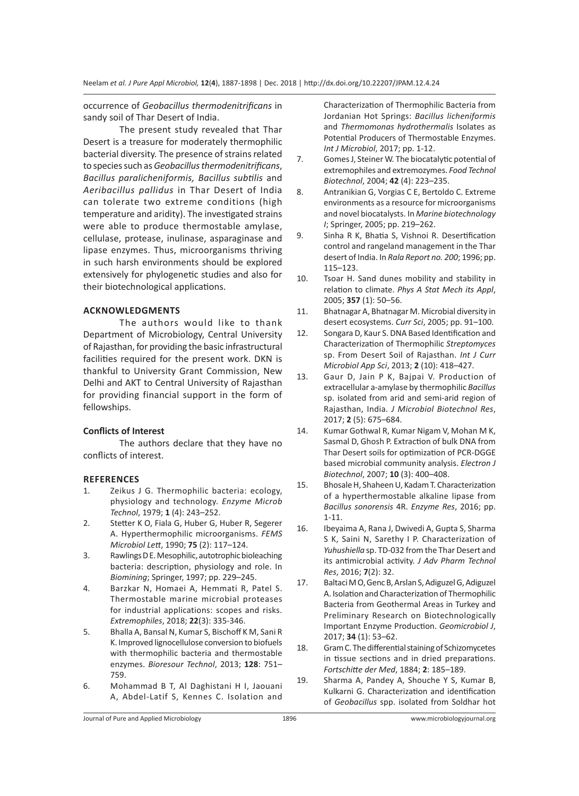occurrence of *Geobacillus thermodenitrificans* in sandy soil of Thar Desert of India.

The present study revealed that Thar Desert is a treasure for moderately thermophilic bacterial diversity. The presence of strains related to species such as *Geobacillus thermodenitrificans*, *Bacillus paralicheniformis, Bacillus subtilis* and *Aeribacillus pallidus* in Thar Desert of India can tolerate two extreme conditions (high temperature and aridity). The investigated strains were able to produce thermostable amylase, cellulase, protease, inulinase, asparaginase and lipase enzymes. Thus, microorganisms thriving in such harsh environments should be explored extensively for phylogenetic studies and also for their biotechnological applications.

## **ACKNOWLEDGMENTS**

The authors would like to thank Department of Microbiology, Central University of Rajasthan, for providing the basic infrastructural facilities required for the present work. DKN is thankful to University Grant Commission, New Delhi and AKT to Central University of Rajasthan for providing financial support in the form of fellowships.

# **Conflicts of Interest**

The authors declare that they have no conflicts of interest.

#### **REFERENCES**

- 1. Zeikus J G. Thermophilic bacteria: ecology, physiology and technology. *Enzyme Microb Technol*, 1979; **1** (4): 243–252.
- 2. Stetter K O, Fiala G, Huber G, Huber R, Segerer A. Hyperthermophilic microorganisms. *FEMS Microbiol Lett*, 1990; **75** (2): 117–124.
- 3. Rawlings D E. Mesophilic, autotrophic bioleaching bacteria: description, physiology and role. In *Biomining*; Springer, 1997; pp. 229–245.
- 4. Barzkar N, Homaei A, Hemmati R, Patel S. Thermostable marine microbial proteases for industrial applications: scopes and risks. *Extremophiles*, 2018; **22**(3): 335-346.
- 5. Bhalla A, Bansal N, Kumar S, Bischoff K M, Sani R K. Improved lignocellulose conversion to biofuels with thermophilic bacteria and thermostable enzymes. *Bioresour Technol*, 2013; **128**: 751– 759.
- 6. Mohammad B T, Al Daghistani H I, Jaouani A, Abdel-Latif S, Kennes C. Isolation and

Characterization of Thermophilic Bacteria from Jordanian Hot Springs: *Bacillus licheniformis*  and *Thermomonas hydrothermalis* Isolates as Potential Producers of Thermostable Enzymes. *Int J Microbiol*, 2017; pp. 1-12.

- 7. Gomes J, Steiner W. The biocatalytic potential of extremophiles and extremozymes. *Food Technol Biotechnol*, 2004; **42** (4): 223–235.
- 8. Antranikian G, Vorgias C E, Bertoldo C. Extreme environments as a resource for microorganisms and novel biocatalysts. In *Marine biotechnology I*; Springer, 2005; pp. 219–262.
- 9. Sinha R K, Bhatia S, Vishnoi R. Desertification control and rangeland management in the Thar desert of India. In *Rala Report no. 200*; 1996; pp. 115–123.
- 10. Tsoar H. Sand dunes mobility and stability in relation to climate. *Phys A Stat Mech its Appl*, 2005; **357** (1): 50–56.
- 11. Bhatnagar A, Bhatnagar M. Microbial diversity in desert ecosystems. *Curr Sci*, 2005; pp. 91–100.
- 12. Songara D, Kaur S. DNA Based Identification and Characterization of Thermophilic *Streptomyces* sp. From Desert Soil of Rajasthan. *Int J Curr Microbiol App Sci*, 2013; **2** (10): 418–427.
- 13. Gaur D, Jain P K, Bajpai V. Production of extracellular a-amylase by thermophilic *Bacillus*  sp. isolated from arid and semi-arid region of Rajasthan, India. *J Microbiol Biotechnol Res*, 2017; **2** (5): 675–684.
- 14. Kumar Gothwal R, Kumar Nigam V, Mohan M K, Sasmal D, Ghosh P. Extraction of bulk DNA from Thar Desert soils for optimization of PCR-DGGE based microbial community analysis. *Electron J Biotechnol*, 2007; **10** (3): 400–408.
- 15. Bhosale H, Shaheen U, Kadam T. Characterization of a hyperthermostable alkaline lipase from *Bacillus sonorensis* 4R. *Enzyme Res*, 2016; pp. 1-11.
- 16. Ibeyaima A, Rana J, Dwivedi A, Gupta S, Sharma S K, Saini N, Sarethy I P. Characterization of *Yuhushiella* sp. TD-032 from the Thar Desert and its antimicrobial activity. *J Adv Pharm Technol Res*, 2016; **7**(2): 32.
- 17. Baltaci M O, Genc B, Arslan S, Adiguzel G, Adiguzel A. Isolation and Characterization of Thermophilic Bacteria from Geothermal Areas in Turkey and Preliminary Research on Biotechnologically Important Enzyme Production. *Geomicrobiol J*, 2017; **34** (1): 53–62.
- 18. Gram C. The differential staining of Schizomycetes in tissue sections and in dried preparations. *Fortschitte der Med*, 1884; **2**: 185–189.
- 19. Sharma A, Pandey A, Shouche Y S, Kumar B, Kulkarni G. Characterization and identification of *Geobacillus* spp. isolated from Soldhar hot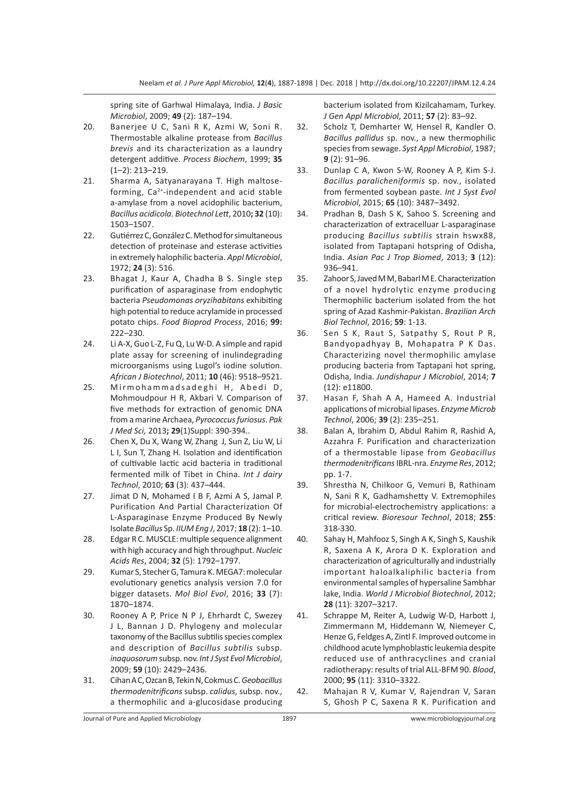spring site of Garhwal Himalaya, India. *J Basic Microbiol*, 2009; **49** (2): 187–194.

- 20. Banerjee U C, Sani R K, Azmi W, Soni R. Thermostable alkaline protease from *Bacillus brevis* and its characterization as a laundry detergent additive. *Process Biochem*, 1999; **35** (1–2): 213–219.
- 21. Sharma A, Satyanarayana T. High maltoseforming, Ca2+-independent and acid stable a-amylase from a novel acidophilic bacterium, *Bacillus acidicola*. *Biotechnol Lett*, 2010**; 32** (10): 1503–1507.
- 22. Gutiérrez C, González C. Method for simultaneous detection of proteinase and esterase activities in extremely halophilic bacteria. *Appl Microbiol*, 1972; **24** (3): 516.
- 23. Bhagat J, Kaur A, Chadha B S. Single step purification of asparaginase from endophytic bacteria *Pseudomonas oryzihabitans* exhibiting high potential to reduce acrylamide in processed potato chips. *Food Bioprod Process*, 2016; **99:** 222–230.
- 24. Li A-X, Guo L-Z, Fu Q, Lu W-D. A simple and rapid plate assay for screening of inulindegrading microorganisms using Lugol's iodine solution. *African J Biotechnol*, 2011; **10** (46): 9518–9521.
- 25. Mirmohammadsadeghi H, Abedi D, Mohmoudpour H R, Akbari V. Comparison of five methods for extraction of genomic DNA from a marine Archaea, *Pyrococcus furiosus*. *Pak J Med Sci,* 2013**; 29**(1)Suppl: 390-394..
- 26. Chen X, Du X, Wang W, Zhang J, Sun Z, Liu W, Li L I, Sun T, Zhang H. Isolation and identification of cultivable lactic acid bacteria in traditional fermented milk of Tibet in China. *Int J dairy Technol*, 2010; **63** (3): 437–444.
- 27. Jimat D N, Mohamed I B F, Azmi A S, Jamal P. Purification And Partial Characterization Of L-Asparaginase Enzyme Produced By Newly Isolate *Bacillus* Sp. *IIUM Eng J*, 2017; **18** (2): 1–10.
- 28. Edgar R C. MUSCLE: multiple sequence alignment with high accuracy and high throughput. *Nucleic Acids Res*, 2004; **32** (5): 1792–1797.
- 29. Kumar S, Stecher G, Tamura K. MEGA7: molecular evolutionary genetics analysis version 7.0 for bigger datasets. *Mol Biol Evol*, 2016; **33** (7): 1870–1874.
- 30. Rooney A P, Price N P J, Ehrhardt C, Swezey J L, Bannan J D. Phylogeny and molecular taxonomy of the Bacillus subtilis species complex and description of *Bacillus subtilis* subsp. *inaquosorum* subsp. nov. *Int J Syst Evol Microbiol*, 2009; **59** (10): 2429–2436.
- 31. Cihan A C, Ozcan B, Tekin N, Cokmus C. *Geobacillus thermodenitrificans* subsp. *calidus*, subsp. nov., a thermophilic and a-glucosidase producing

bacterium isolated from Kizilcahamam, Turkey. *J Gen Appl Microbiol*, 2011; **57** (2): 83–92.

- 32. Scholz T, Demharter W, Hensel R, Kandler O. *Bacillus pallidus* sp. nov., a new thermophilic species from sewage. *Syst Appl Microbiol*, 1987; **9** (2): 91–96.
- 33. Dunlap C A, Kwon S-W, Rooney A P, Kim S-J. *Bacillus paralicheniformis* sp. nov., isolated from fermented soybean paste. *Int J Syst Evol Microbiol*, 2015; **65** (10): 3487–3492.
- 34. Pradhan B, Dash S K, Sahoo S. Screening and characterization of extracelluar L-asparaginase producing *Bacillus subtilis* strain hswx88, isolated from Taptapani hotspring of Odisha, India. *Asian Pac J Trop Biomed*, 2013; **3** (12): 936–941.
- 35. Zahoor S, Javed M M, Babarl M E. Characterization of a novel hydrolytic enzyme producing Thermophilic bacterium isolated from the hot spring of Azad Kashmir-Pakistan. *Brazilian Arch Biol Technol*, 2016; **59**: 1-13.
- 36. Sen S K, Raut S, Satpathy S, Rout P R, Bandyopadhyay B, Mohapatra P K Das. Characterizing novel thermophilic amylase producing bacteria from Taptapani hot spring, Odisha, India. *Jundishapur J Microbiol*, 2014; **7** (12): e11800.
- 37. Hasan F, Shah A A, Hameed A. Industrial applications of microbial lipases. *Enzyme Microb Technol*, 2006; **39** (2): 235–251.
- 38. Balan A, Ibrahim D, Abdul Rahim R, Rashid A, Azzahra F. Purification and characterization of a thermostable lipase from *Geobacillus thermodenitrificans* IBRL-nra. *Enzyme Res*, 2012; pp. 1-7.
- 39. Shrestha N, Chilkoor G, Vemuri B, Rathinam N, Sani R K, Gadhamshetty V. Extremophiles for microbial-electrochemistry applications: a critical review. *Bioresour Technol*, 2018; **255**: 318-330.
- 40. Sahay H, Mahfooz S, Singh A K, Singh S, Kaushik R, Saxena A K, Arora D K. Exploration and characterization of agriculturally and industrially important haloalkaliphilic bacteria from environmental samples of hypersaline Sambhar lake, India. *World J Microbiol Biotechnol*, 2012; **28** (11): 3207–3217.
- 41. Schrappe M, Reiter A, Ludwig W-D, Harbott J, Zimmermann M, Hiddemann W, Niemeyer C, Henze G, Feldges A, Zintl F. Improved outcome in childhood acute lymphoblastic leukemia despite reduced use of anthracyclines and cranial radiotherapy: results of trial ALL-BFM 90. *Blood*, 2000; **95** (11): 3310–3322.
- 42. Mahajan R V, Kumar V, Rajendran V, Saran S, Ghosh P C, Saxena R K. Purification and